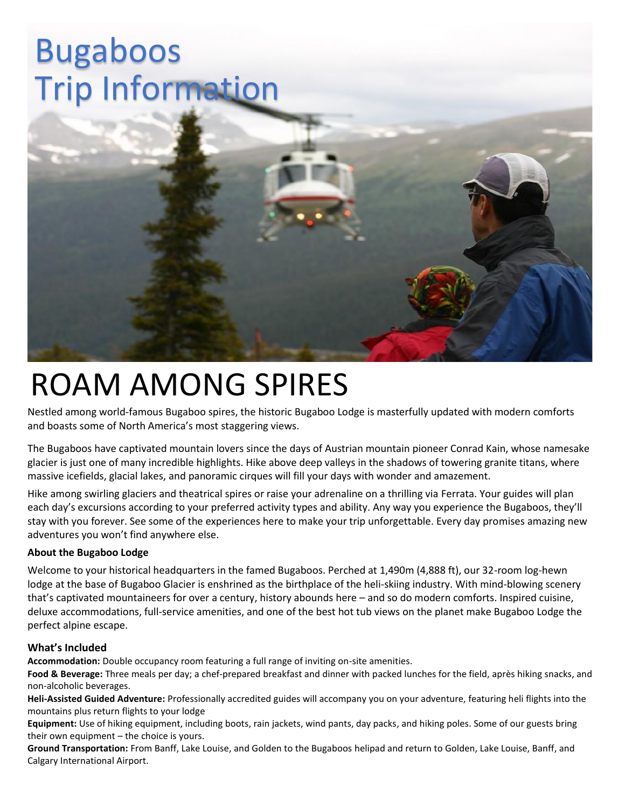# Bugaboos Trip Information



## ROAM AMONG SPIRES

Nestled among world-famous Bugaboo spires, the historic Bugaboo Lodge is masterfully updated with modern comforts and boasts some of North America's most staggering views.

The Bugaboos have captivated mountain lovers since the days of Austrian mountain pioneer Conrad Kain, whose namesake glacier is just one of many incredible highlights. Hike above deep valleys in the shadows of towering granite titans, where massive icefields, glacial lakes, and panoramic cirques will fill your days with wonder and amazement.

Hike among swirling glaciers and theatrical spires or raise your adrenaline on a thrilling via Ferrata. Your guides will plan each day's excursions according to your preferred activity types and ability. Any way you experience the Bugaboos, they'll stay with you forever. See some of the experiences here to make your trip unforgettable. Every day promises amazing new adventures you won't find anywhere else.

### **About the Bugaboo Lodge**

Welcome to your historical headquarters in the famed Bugaboos. Perched at 1,490m (4,888 ft), our 32-room log-hewn lodge at the base of Bugaboo Glacier is enshrined as the birthplace of the heli-skiing industry. With mind-blowing scenery that's captivated mountaineers for over a century, history abounds here – and so do modern comforts. Inspired cuisine, deluxe accommodations, full-service amenities, and one of the best hot tub views on the planet make Bugaboo Lodge the perfect alpine escape.

#### **What's Included**

**Accommodation:** Double occupancy room featuring a full range of inviting on-site amenities.

**Food & Beverage:** Three meals per day; a chef-prepared breakfast and dinner with packed lunches for the field, après hiking snacks, and non-alcoholic beverages.

**Heli-Assisted Guided Adventure:** Professionally accredited guides will accompany you on your adventure, featuring heli flights into the mountains plus return flights to your lodge

**Equipment:** Use of hiking equipment, including boots, rain jackets, wind pants, day packs, and hiking poles. Some of our guests bring their own equipment – the choice is yours.

**Ground Transportation:** From Banff, Lake Louise, and Golden to the Bugaboos helipad and return to Golden, Lake Louise, Banff, and Calgary International Airport.